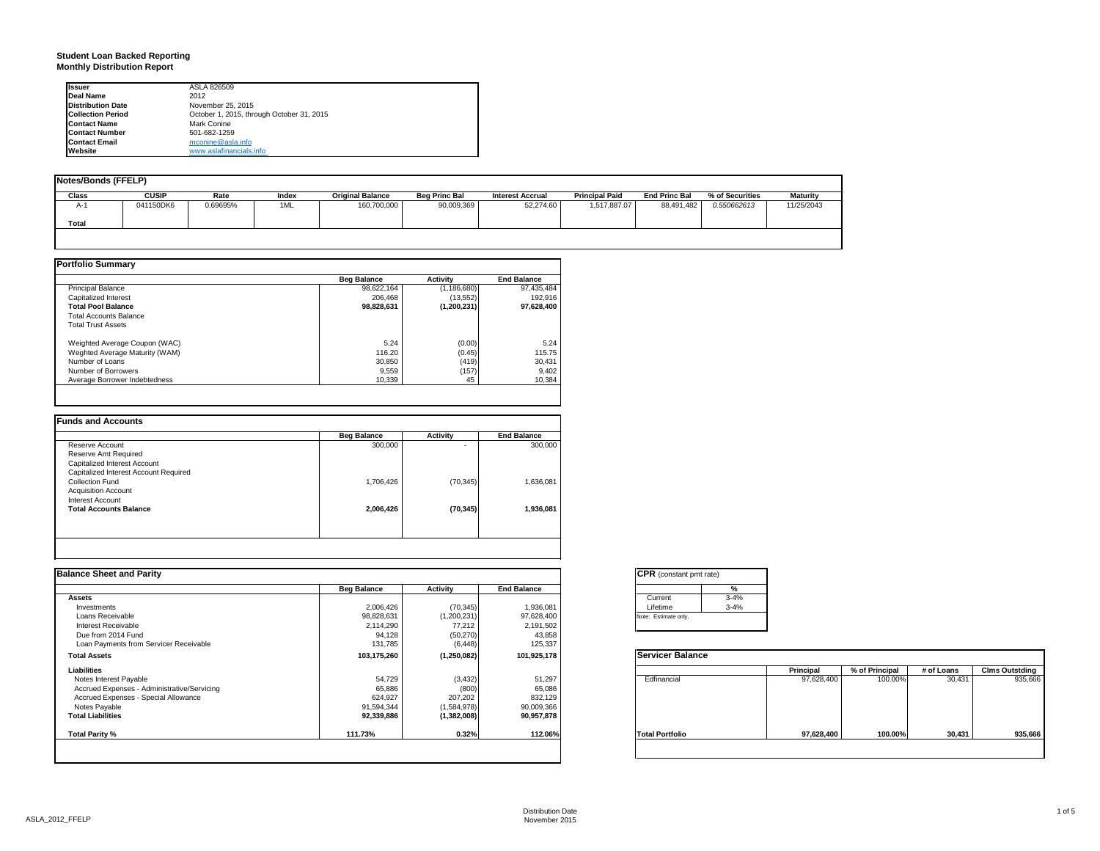#### **Student Loan Backed Reporting Monthly Distribution Report**

| <b>Issuer</b>            | ASLA 826509                               |  |
|--------------------------|-------------------------------------------|--|
| Deal Name                | 2012                                      |  |
| <b>Distribution Date</b> | November 25, 2015                         |  |
| <b>Collection Period</b> | October 1, 2015, through October 31, 2015 |  |
| <b>Contact Name</b>      | Mark Conine                               |  |
| <b>Contact Number</b>    | 501-682-1259                              |  |
| <b>Contact Email</b>     | mconine@asla.info                         |  |
| Website                  | www.aslafinancials.info                   |  |

| Notes/Bonds (FFELP) |              |          |       |                         |                      |                         |                       |                      |                 |                 |
|---------------------|--------------|----------|-------|-------------------------|----------------------|-------------------------|-----------------------|----------------------|-----------------|-----------------|
| <b>Class</b>        | <b>CUSIP</b> | Rate     | Index | <b>Original Balance</b> | <b>Beg Princ Bal</b> | <b>Interest Accrual</b> | <b>Principal Paid</b> | <b>End Princ Bal</b> | % of Securities | <b>Maturity</b> |
| A-1                 | 041150DK6    | 0.69695% | 1ML   | 160,700,000             | 90,009,369           | 52,274.60               | 1,517,887.07          | 88,491,482           | 0.550662613     | 11/25/2043      |
| Total               |              |          |       |                         |                      |                         |                       |                      |                 |                 |
|                     |              |          |       |                         |                      |                         |                       |                      |                 |                 |
|                     |              |          |       |                         |                      |                         |                       |                      |                 |                 |

|                                | <b>Beg Balance</b> | <b>Activity</b> | <b>End Balance</b> |
|--------------------------------|--------------------|-----------------|--------------------|
| <b>Principal Balance</b>       | 98,622,164         | (1, 186, 680)   | 97.435.484         |
| Capitalized Interest           | 206.468            | (13.552)        | 192.916            |
| <b>Total Pool Balance</b>      | 98,828,631         | (1, 200, 231)   | 97,628,400         |
| <b>Total Accounts Balance</b>  |                    |                 |                    |
| <b>Total Trust Assets</b>      |                    |                 |                    |
| Weighted Average Coupon (WAC)  | 5.24               | (0.00)          | 5.24               |
| Weghted Average Maturity (WAM) | 116.20             | (0.45)          | 115.75             |
| Number of Loans                | 30,850             | (419)           | 30.431             |
| Number of Borrowers            | 9,559              | (157)           | 9.402              |
| Average Borrower Indebtedness  | 10.339             | 45              | 10.384             |

|                                       | <b>Beg Balance</b> | <b>Activity</b> | <b>End Balance</b> |
|---------------------------------------|--------------------|-----------------|--------------------|
| Reserve Account                       | 300,000            | ۰               | 300,000            |
| Reserve Amt Required                  |                    |                 |                    |
| Capitalized Interest Account          |                    |                 |                    |
| Capitalized Interest Account Required |                    |                 |                    |
| <b>Collection Fund</b>                | 1,706,426          | (70, 345)       | 1,636,081          |
| <b>Acquisition Account</b>            |                    |                 |                    |
| Interest Account                      |                    |                 |                    |
| <b>Total Accounts Balance</b>         | 2,006,426          | (70, 345)       | 1.936.081          |
|                                       |                    |                 |                    |
|                                       |                    |                 |                    |
|                                       |                    |                 |                    |

|                    |               |                    | <b>CPR</b> (constant pmt rate) |             |                |            |                       |
|--------------------|---------------|--------------------|--------------------------------|-------------|----------------|------------|-----------------------|
| <b>Beg Balance</b> | Activity      | <b>End Balance</b> |                                |             |                |            |                       |
|                    |               |                    | $3 - 4%$<br>Current            |             |                |            |                       |
| 2,006,426          | (70, 345)     | 1,936,081          | $3 - 4%$<br>Lifetime           |             |                |            |                       |
| 98,828,631         | (1,200,231)   | 97,628,400         | Note: Estimate only.           |             |                |            |                       |
| 2,114,290          | 77,212        | 2,191,502          |                                |             |                |            |                       |
| 94,128             | (50, 270)     | 43,858             |                                |             |                |            |                       |
| 131,785            | (6, 448)      | 125,337            |                                |             |                |            |                       |
| 103,175,260        | (1, 250, 082) | 101,925,178        | <b>Servicer Balance</b>        |             |                |            |                       |
|                    |               |                    |                                | Principal   | % of Principal | # of Loans | <b>Clms Outstding</b> |
| 54,729             | (3, 432)      | 51,297             |                                | 97,628,400  | 100.00%        | 30,431     | 935,666               |
| 65,886             | (800)         | 65,086             |                                |             |                |            |                       |
| 624,927            | 207,202       | 832,129            |                                |             |                |            |                       |
| 91,594,344         | (1,584,978)   | 90,009,366         |                                |             |                |            |                       |
| 92,339,886         | (1, 382, 008) | 90,957,878         |                                |             |                |            |                       |
| 111.73%            | 0.32%         | 112.06%            | <b>Total Portfolio</b>         | 97,628,400  | 100.00%        | 30,431     | 935,666               |
|                    |               |                    |                                | Edfinancial |                |            |                       |

| <b>CPR</b> (constant pmt rate) |          |  |  |  |  |  |  |
|--------------------------------|----------|--|--|--|--|--|--|
|                                | %        |  |  |  |  |  |  |
| Current                        | $3 - 4%$ |  |  |  |  |  |  |
| Lifetime                       | $3 - 4%$ |  |  |  |  |  |  |
| Note: Estimate only.           |          |  |  |  |  |  |  |

|                        | Principal  | % of Principal | # of Loans | <b>Clms Outstding</b> |
|------------------------|------------|----------------|------------|-----------------------|
| Edfinancial            | 97,628,400 | 100.00%        | 30,431     | 935,666               |
| <b>Total Portfolio</b> | 97,628,400 | 100.00%        | 30,431     | 935,666               |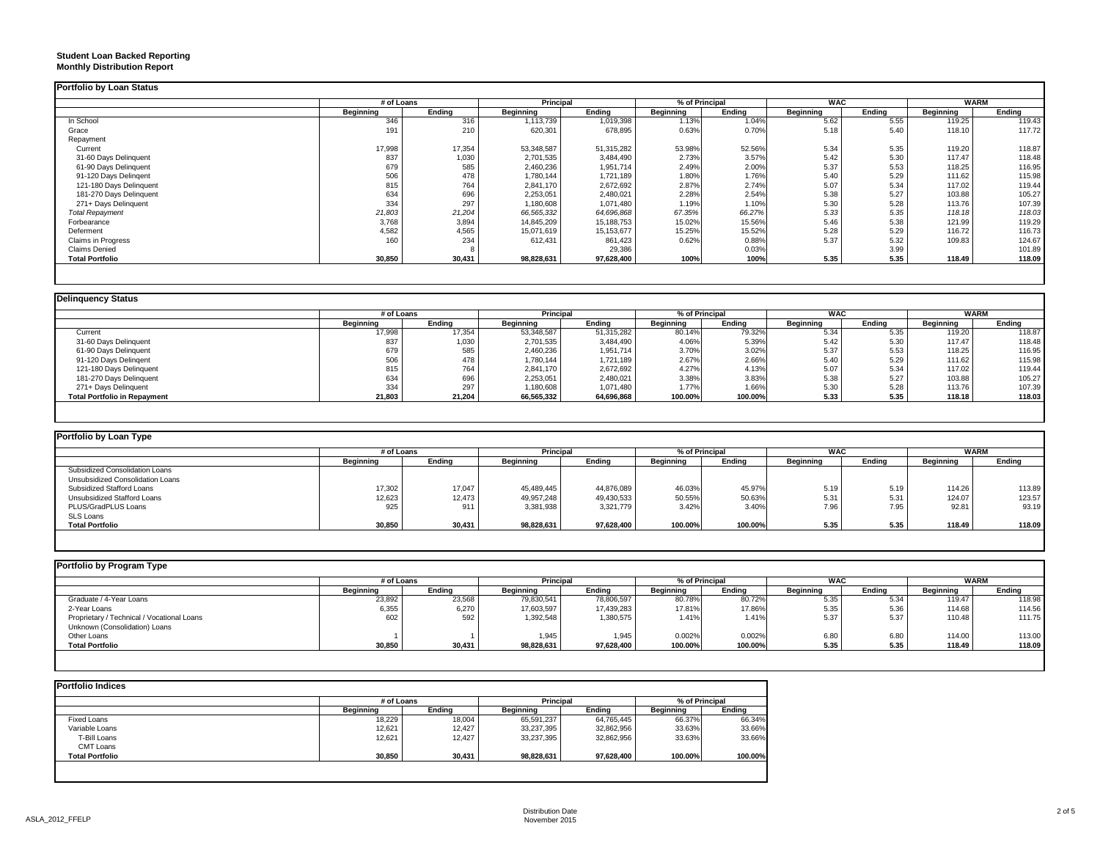#### **Student Loan Backed Reporting Monthly Distribution Report**

| <b>MORTAL DISTRIBUTION DEPOIL</b> |  |  |
|-----------------------------------|--|--|
|                                   |  |  |

|                           | # of Loans |        | <b>Principal</b> |            | % of Principal   |        | <b>WAC</b> |        | <b>WARM</b> |        |
|---------------------------|------------|--------|------------------|------------|------------------|--------|------------|--------|-------------|--------|
|                           | Beginning  | Ending | Beginning        | Ending     | <b>Beginning</b> | Ending | Beginning  | Ending | Beginning   | Ending |
| In School                 | 346        | 316    | 1,113,739        | 1,019,398  | 1.13%            | 1.04%  | 5.62       | 5.55   | 119.25      | 119.43 |
| Grace                     | 191        | 210    | 620,301          | 678,895    | 0.63%            | 0.70%  | 5.18       | 5.40   | 118.10      | 117.72 |
| Repayment                 |            |        |                  |            |                  |        |            |        |             |        |
| Current                   | 17,998     | 17,354 | 53,348,587       | 51,315,282 | 53.98%           | 52.56% | 5.34       | 5.35   | 119.20      | 118.87 |
| 31-60 Days Delinquent     | 837        | 1,030  | 2,701,535        | 3,484,490  | 2.73%            | 3.57%  | 5.42       | 5.30   | 117.47      | 118.48 |
| 61-90 Days Delinquent     | 679        | 585    | 2,460,236        | 1,951,714  | 2.49%            | 2.00%  | 5.37       | 5.53   | 118.25      | 116.95 |
| 91-120 Days Delingent     | 506        | 478    | 1,780,144        | 1,721,189  | 1.80%            | 1.76%  | 5.40       | 5.29   | 111.62      | 115.98 |
| 121-180 Days Delinquent   | 815        | 764    | 2,841,170        | 2,672,692  | 2.87%            | 2.74%  | 5.07       | 5.34   | 117.02      | 119.44 |
| 181-270 Days Delinquent   | 634        | 696    | 2,253,051        | 2,480,021  | 2.28%            | 2.54%  | 5.38       | 5.27   | 103.88      | 105.27 |
| 271+ Days Delinquent      | 334        | 297    | 1,180,608        | 1,071,480  | 1.19%            | 1.10%  | 5.30       | 5.28   | 113.76      | 107.39 |
| <b>Total Repayment</b>    | 21,803     | 21,204 | 66,565,332       | 64,696,868 | 67.35%           | 66.27% | 5.33       | 5.35   | 118.18      | 118.03 |
| Forbearance               | 3,768      | 3,894  | 14,845,209       | 15,188,753 | 15.02%           | 15.56% | 5.46       | 5.38   | 121.99      | 119.29 |
| Deferment                 | 4,582      | 4,565  | 15,071,619       | 15,153,677 | 15.25%           | 15.52% | 5.28       | 5.29   | 116.72      | 116.73 |
| <b>Claims in Progress</b> | 160        | 234    | 612,431          | 861,423    | 0.62%            | 0.88%  | 5.37       | 5.32   | 109.83      | 124.67 |
| Claims Denied             |            |        |                  | 29,386     |                  | 0.03%  |            | 3.99   |             | 101.89 |
| <b>Total Portfolio</b>    | 30,850     | 30,431 | 98,828,631       | 97,628,400 | 100%             | 100%   | 5.35       | 5.35   | 118.49      | 118.09 |

### **Delinquency Status**

|                                     | # of Loans       |        | <b>Principal</b> |            |           | % of Principal |                  | <b>WAC</b> | <b>WARM</b>      |        |
|-------------------------------------|------------------|--------|------------------|------------|-----------|----------------|------------------|------------|------------------|--------|
|                                     | <b>Beginning</b> | Endina | <b>Beginning</b> | Endina     | Beginning | Ending         | <b>Beginning</b> | Ending     | <b>Beginning</b> | Ending |
| Current                             | 17,998           | 17,354 | 53,348,587       | 51,315,282 | 80.14%    | 79.32%         | 5.34             | 5.35       | 119.20           | 118.87 |
| 31-60 Days Delinquent               | 837              | 1,030  | 2,701,535        | 3,484,490  | 4.06%     | 5.39%          | 5.42             | 5.30       | 117.47           | 118.48 |
| 61-90 Days Delinquent               | 679              | 585    | 2,460,236        | 1,951,714  | 3.70%     | 3.02%          | 5.37             | 5.53       | 118.25           | 116.95 |
| 91-120 Days Delingent               | 506              | 478    | 1,780,144        | 1,721,189  | 2.67%     | 2.66%          | 5.40             | 5.29       | 111.62           | 115.98 |
| 121-180 Days Delinquent             | 815              | 764    | 2,841,170        | 2,672,692  | 4.27%     | 4.13%          | 5.07             | 5.34       | 117.02           | 119.44 |
| 181-270 Days Delinquent             | 634              | 696    | 2,253,051        | 2,480,021  | 3.38%     | 3.83%          | 5.38             | 5.27       | 103.88           | 105.27 |
| 271+ Days Delinquent                | 334              | 297    | 1,180,608        | 1,071,480  | 1.77%     | 1.66%          | 5.30             | 5.28       | 113.76           | 107.39 |
| <b>Total Portfolio in Repayment</b> | 21,803           | 21,204 | 66,565,332       | 64,696,868 | 100.00%   | 100.00%        | 5.33             | 5.35       | 118.18           | 118.03 |

| Portfolio by Loan Type           |                  |        |            |            |                  |         |                  |        |             |        |  |
|----------------------------------|------------------|--------|------------|------------|------------------|---------|------------------|--------|-------------|--------|--|
|                                  | # of Loans       |        | Principal  |            | % of Principal   |         | <b>WAC</b>       |        | <b>WARM</b> |        |  |
|                                  | <b>Beginning</b> | Ending | Beginning  | Ending     | <b>Beainning</b> | Ending  | <b>Beginning</b> | Ending | Beginning   | Ending |  |
| Subsidized Consolidation Loans   |                  |        |            |            |                  |         |                  |        |             |        |  |
| Unsubsidized Consolidation Loans |                  |        |            |            |                  |         |                  |        |             |        |  |
| Subsidized Stafford Loans        | 17,302           | 17,047 | 45.489.445 | 44.876.089 | 46.03%           | 45.97%  | 5.19             | 5.19   | 114.26      | 113.89 |  |
| Unsubsidized Stafford Loans      | 12,623           | 12,473 | 49,957,248 | 49,430,533 | 50.55%           | 50.63%  | 5.31             | 5.31   | 124.07      | 123.57 |  |
| PLUS/GradPLUS Loans              | 925              | 911    | 3,381,938  | 3,321,779  | 3.42%            | 3.40%   | 7.96             | 7.95   | 92.81       | 93.19  |  |
| SLS Loans                        |                  |        |            |            |                  |         |                  |        |             |        |  |
| <b>Total Portfolio</b>           | 30,850           | 30,431 | 98,828,631 | 97,628,400 | 100.00%          | 100.00% | 5.35             | 5.35   | 118.49      | 118.09 |  |

| Portfolio by Program Type                  |                  |        |                  |            |                |         |                  |        |             |        |  |
|--------------------------------------------|------------------|--------|------------------|------------|----------------|---------|------------------|--------|-------------|--------|--|
|                                            | # of Loans       |        | Principal        |            | % of Principal |         | <b>WAC</b>       |        | <b>WARM</b> |        |  |
|                                            | <b>Beainning</b> | Endina | <b>Beainning</b> | Endina     | Beainnina      | Endina  | <b>Beginning</b> | Endina | Beainnina   | Ending |  |
| Graduate / 4-Year Loans                    | 23,892           | 23,568 | 79,830,541       | 78,806,597 | 80.78%         | 80.72%  | 5.35             | 5.34   | 119.47      | 118.98 |  |
| 2-Year Loans                               | 6,355            | 6,270  | 17,603,597       | 17,439,283 | 17.81%         | 17.86%  | 5.35             | 5.36   | 114.68      | 114.56 |  |
| Proprietary / Technical / Vocational Loans | 602              | 592    | 1,392,548        | 1,380,575  | 1.41%          | 1.41%   | 5.37             | 5.37   | 110.48      | 111.75 |  |
| Unknown (Consolidation) Loans              |                  |        |                  |            |                |         |                  |        |             |        |  |
| Other Loans                                |                  |        | 1,945            | 1.945      | 0.002%         | 0.002%  | 6.80             | 6.80   | 114.00      | 113.00 |  |
| <b>Total Portfolio</b>                     | 30,850           | 30,431 | 98,828,631       | 97,628,400 | 100.00%        | 100.00% | 5.35             | 5.35   | 118.49      | 118.09 |  |

|                        |                  | # of Loans |                  | <b>Principal</b> |                  | % of Principal |  |
|------------------------|------------------|------------|------------------|------------------|------------------|----------------|--|
|                        | <b>Beginning</b> | Endina     | <b>Beginning</b> | Endina           | <b>Beginning</b> | Ending         |  |
| <b>Fixed Loans</b>     | 18.229           | 18,004     | 65,591,237       | 64,765,445       | 66.37%           | 66.34%         |  |
| Variable Loans         | 12,621           | 12,427     | 33,237,395       | 32,862,956       | 33.63%           | 33.66%         |  |
| T-Bill Loans           | 12,621           | 12,427     | 33,237,395       | 32,862,956       | 33.63%           | 33.66%         |  |
| CMT Loans              |                  |            |                  |                  |                  |                |  |
| <b>Total Portfolio</b> | 30,850           | 30,431     | 98,828,631       | 97,628,400       | 100.00%          | 100.00%        |  |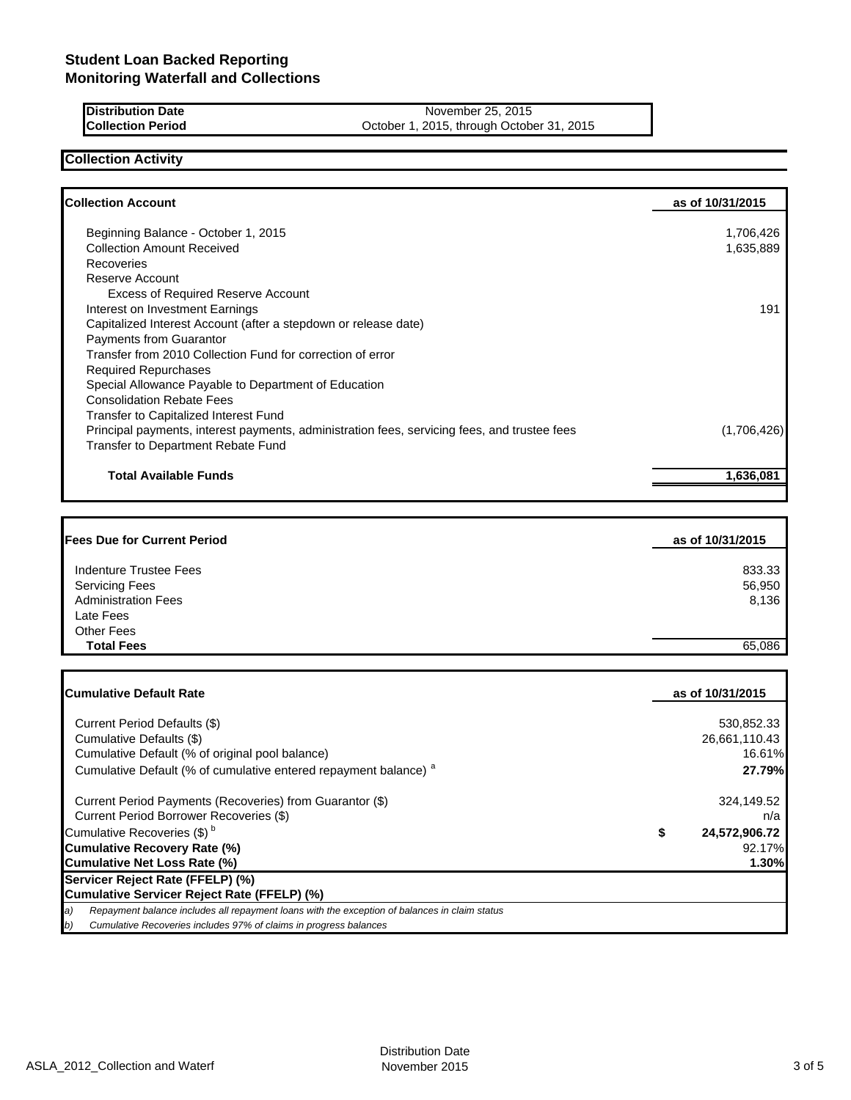**Distribution Date** November 25, 2015<br> **Collection Period** Collection Contract Device A November 25, 2015 October 1, 2015, through October 31, 2015

## **Collection Activity**

| Beginning Balance - October 1, 2015<br><b>Collection Amount Received</b><br>Recoveries<br>Reserve Account<br><b>Excess of Required Reserve Account</b><br>Interest on Investment Earnings | 1,706,426<br>1,635,889<br>191 |
|-------------------------------------------------------------------------------------------------------------------------------------------------------------------------------------------|-------------------------------|
|                                                                                                                                                                                           |                               |
|                                                                                                                                                                                           |                               |
|                                                                                                                                                                                           |                               |
|                                                                                                                                                                                           |                               |
|                                                                                                                                                                                           |                               |
|                                                                                                                                                                                           |                               |
|                                                                                                                                                                                           |                               |
| Capitalized Interest Account (after a stepdown or release date)                                                                                                                           |                               |
| <b>Payments from Guarantor</b>                                                                                                                                                            |                               |
| Transfer from 2010 Collection Fund for correction of error                                                                                                                                |                               |
| <b>Required Repurchases</b>                                                                                                                                                               |                               |
| Special Allowance Payable to Department of Education                                                                                                                                      |                               |
| <b>Consolidation Rebate Fees</b>                                                                                                                                                          |                               |
| <b>Transfer to Capitalized Interest Fund</b>                                                                                                                                              |                               |
| Principal payments, interest payments, administration fees, servicing fees, and trustee fees                                                                                              | (1,706,426)                   |
| <b>Transfer to Department Rebate Fund</b>                                                                                                                                                 |                               |
| <b>Total Available Funds</b>                                                                                                                                                              | 1,636,081                     |

| <b>Fees Due for Current Period</b> | as of 10/31/2015 |
|------------------------------------|------------------|
| Indenture Trustee Fees             | 833.33           |
| <b>Servicing Fees</b>              | 56,950           |
| <b>Administration Fees</b>         | 8,136            |
| Late Fees                          |                  |
| <b>Other Fees</b>                  |                  |
| <b>Total Fees</b>                  | 65.086           |

| <b>ICumulative Default Rate</b>                                                                                   | as of 10/31/2015    |
|-------------------------------------------------------------------------------------------------------------------|---------------------|
| Current Period Defaults (\$)                                                                                      | 530,852.33          |
| Cumulative Defaults (\$)                                                                                          | 26.661.110.43       |
| Cumulative Default (% of original pool balance)                                                                   | 16.61%              |
| Cumulative Default (% of cumulative entered repayment balance) <sup>a</sup>                                       | 27.79%              |
| Current Period Payments (Recoveries) from Guarantor (\$)                                                          | 324,149.52          |
| Current Period Borrower Recoveries (\$)                                                                           | n/a                 |
| Cumulative Recoveries (\$) <sup>b</sup>                                                                           | \$<br>24,572,906.72 |
| Cumulative Recovery Rate (%)                                                                                      | 92.17%              |
| Cumulative Net Loss Rate (%)                                                                                      | 1.30%               |
| Servicer Reject Rate (FFELP) (%)                                                                                  |                     |
| Cumulative Servicer Reject Rate (FFELP) (%)                                                                       |                     |
| Repayment balance includes all repayment loans with the exception of balances in claim status<br>$\boldsymbol{a}$ |                     |
| Cumulative Recoveries includes 97% of claims in progress balances<br>b)                                           |                     |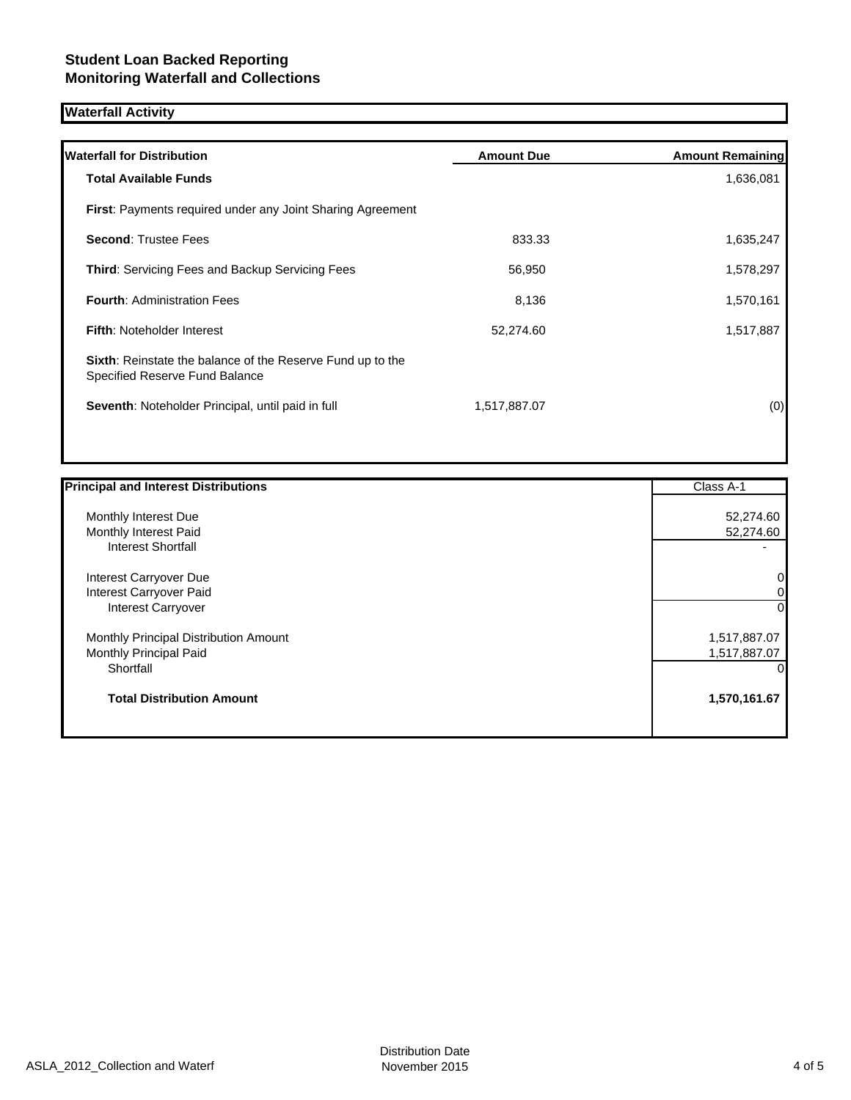# **Waterfall Activity**

| <b>Amount Due</b> | <b>Amount Remaining</b> |
|-------------------|-------------------------|
|                   | 1,636,081               |
|                   |                         |
| 833.33            | 1,635,247               |
| 56,950            | 1,578,297               |
| 8,136             | 1,570,161               |
| 52,274.60         | 1,517,887               |
|                   |                         |
| 1,517,887.07      | (0)                     |
|                   |                         |

| <b>Principal and Interest Distributions</b> | Class A-1    |
|---------------------------------------------|--------------|
| Monthly Interest Due                        | 52,274.60    |
| Monthly Interest Paid                       | 52,274.60    |
| Interest Shortfall                          |              |
| Interest Carryover Due                      | 0            |
| Interest Carryover Paid                     | 0            |
| <b>Interest Carryover</b>                   | 0            |
| Monthly Principal Distribution Amount       | 1,517,887.07 |
| Monthly Principal Paid                      | 1,517,887.07 |
| Shortfall                                   | 0            |
| <b>Total Distribution Amount</b>            | 1,570,161.67 |
|                                             |              |
|                                             |              |